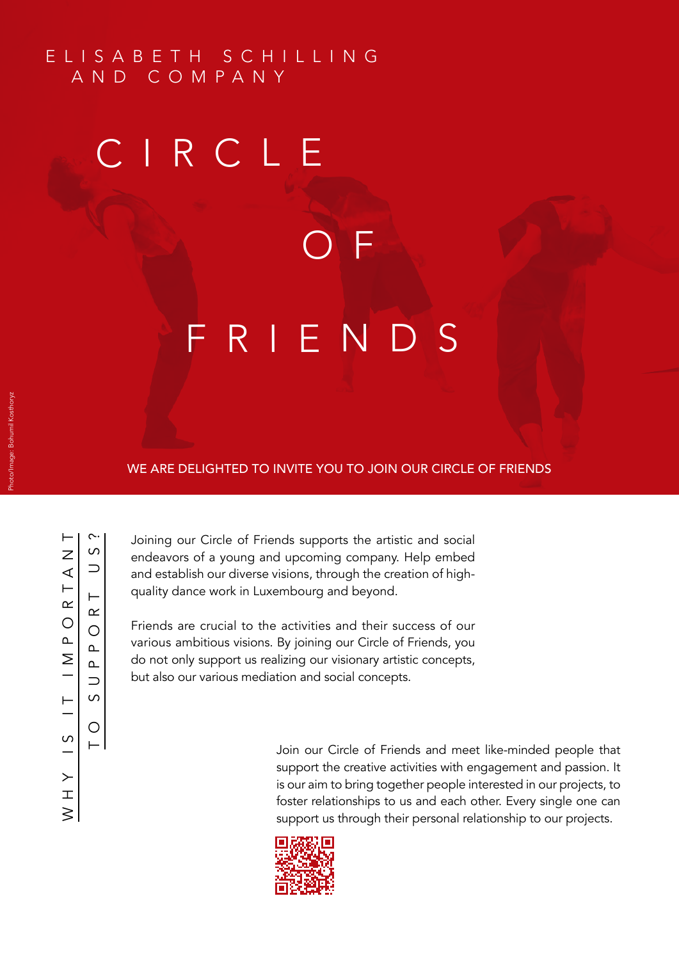## E L I S A B E T H S C H I L L I N G AND COMPANY

## C I R C L E

**CONTRACTOR ONE** 

## FRIENDS

## WE ARE DELIGHTED TO INVITE YOU TO JOIN OUR CIRCLE OF FRIENDS

 $\sim$ 

⊢

Joining our Circle of Friends supports the artistic and social endeavors of a young and upcoming company. Help embed and establish our diverse visions, through the creation of highquality dance work in Luxembourg and beyond.

Friends are crucial to the activities and their success of our various ambitious visions. By joining our Circle of Friends, you do not only support us realizing our visionary artistic concepts, but also our various mediation and social concepts.

> Join our Circle of Friends and meet like-minded people that support the creative activities with engagement and passion. It is our aim to bring together people interested in our projects, to foster relationships to us and each other. Every single one can support us through their personal relationship to our projects.

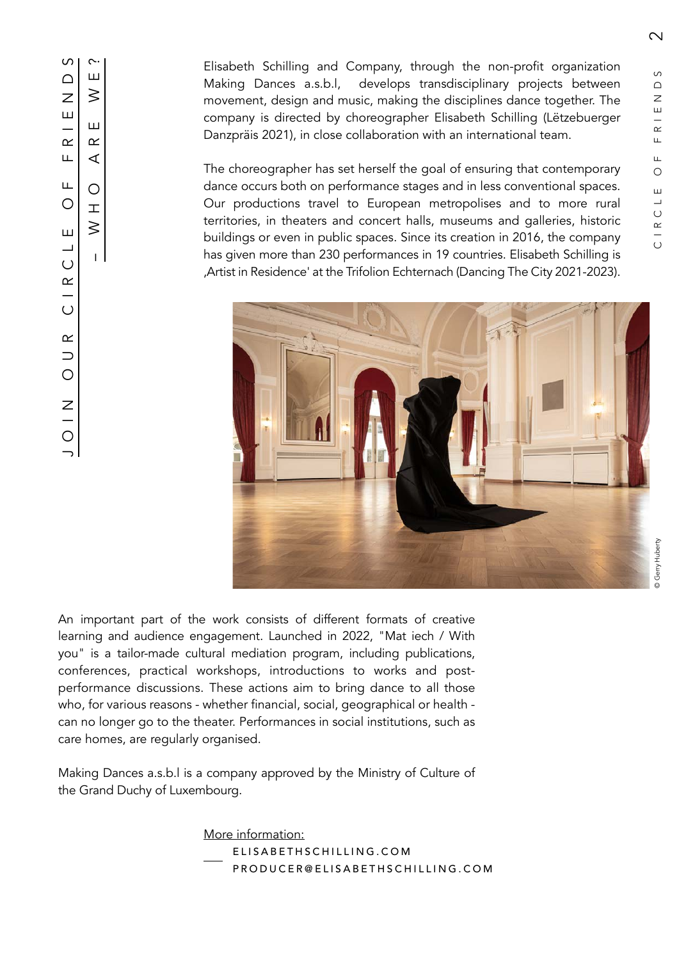$\overline{\mathsf{C}}$ 

Elisabeth Schilling and Company, through the non-profit organization Making Dances a.s.b.l, develops transdisciplinary projects between movement, design and music, making the disciplines dance together. The company is directed by choreographer Elisabeth Schilling (Lëtzebuerger Danzpräis 2021), in close collaboration with an international team.

The choreographer has set herself the goal of ensuring that contemporary dance occurs both on performance stages and in less conventional spaces. Our productions travel to European metropolises and to more rural territories, in theaters and concert halls, museums and galleries, historic buildings or even in public spaces. Since its creation in 2016, the company has given more than 230 performances in 19 countries. Elisabeth Schilling is 'Artist in Residence' at the Trifolion Echternach (Dancing The City 2021-2023).



An important part of the work consists of different formats of creative learning and audience engagement. Launched in 2022, "Mat iech / With you" is a tailor-made cultural mediation program, including publications, conferences, practical workshops, introductions to works and postperformance discussions. These actions aim to bring dance to all those who, for various reasons - whether financial, social, geographical or health can no longer go to the theater. Performances in social institutions, such as care homes, are regularly organised. the Grand Duchy of Luxembourg.<br>
Making  $\begin{array}{ccc}\n\begin{array}{ccc}\n\text{C} & \text{L} \\
\text{L} & \text{L} & \text{L} \\
\text{L} & \text{L} & \text{L} \\
\text{L} & \text{L} & \text{L}\n\end{array} & \begin{array}{ccc}\n\text{L} & \text{L} \\
\text{L} & \text{L} \\
\text{L} & \text{L} \\
\text{L} & \text{L}\n\end{array} & \begin{array}{ccc}\n\text{L} & \text{L} \\
\text{L} & \text{L}$ 

Making Dances a.s.b.l is a company approved by the Ministry of Culture of

More information: ELISABETHSCHILLING.COM PRODUCER@ELISABETHSCHILLING.COM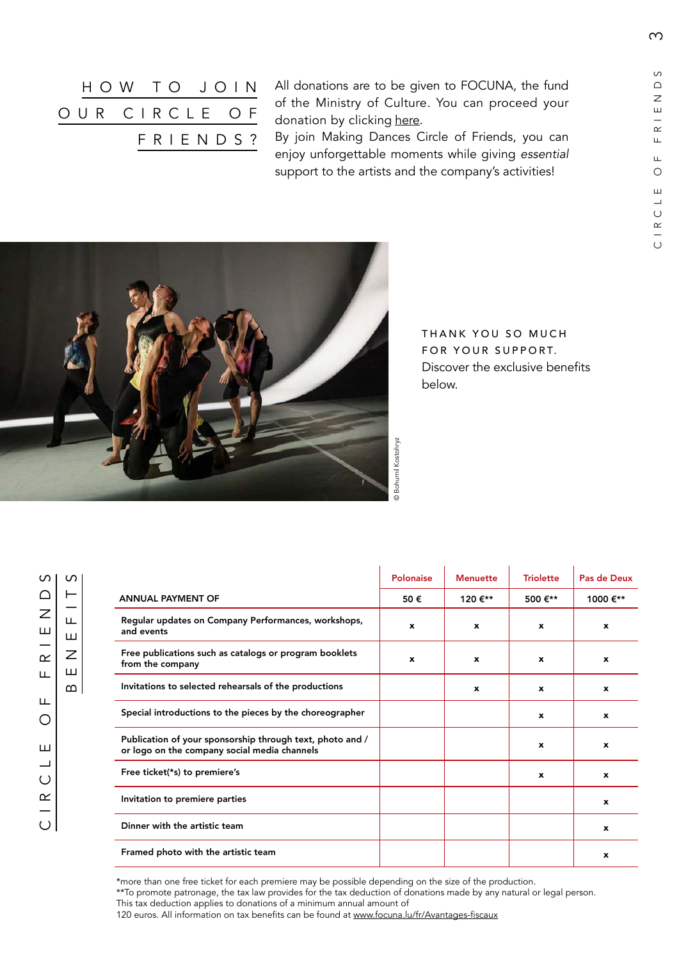$\infty$ 

| HOW TO JOIN   |  |  |          |  |
|---------------|--|--|----------|--|
| OUR CIRCLE OF |  |  |          |  |
|               |  |  | FRIENDS? |  |

All donations are to be given to FOCUNA, the fund of the Ministry of Culture. You can proceed your donation by clicking [here.](https://www.focuna.lu/fr/Faites-un-don/Making-Dances-a-s-b-l-)

By join Making Dances Circle of Friends, you can enjoy unforgettable moments while giving *essential*  support to the artists and the company's activities!



THANK YOU SO MUCH FOR YOUR SUPPORT. Discover the exclusive benefits below.

 $\circ$ CIRCLE OF FRIENDS  $\bigcap$  $\overline{z}$ Ш  $\alpha$ Щ Щ  $\circ$ Ш  $\overline{\phantom{0}}$  $\bigcirc$  $C$  | R

BENEFITS

Ш  $\overline{z}$ 

Ш

 $\infty$ 

Щ

 $\Omega$ 

|                                                                                                           | <b>Polonaise</b> | <b>Menuette</b> | <b>Triolette</b> | Pas de Deux      |
|-----------------------------------------------------------------------------------------------------------|------------------|-----------------|------------------|------------------|
| <b>ANNUAL PAYMENT OF</b>                                                                                  | 50€              | 120 €**         | 500 €**          | 1000 €**         |
| Regular updates on Company Performances, workshops,<br>and events                                         | $\mathbf{x}$     | $\mathbf{x}$    | $\mathbf{x}$     | $\mathbf{x}$     |
| Free publications such as catalogs or program booklets<br>from the company                                | $\mathbf{x}$     | x               | $\mathbf{x}$     | $\mathbf{x}$     |
| Invitations to selected rehearsals of the productions                                                     |                  | $\mathbf{x}$    | $\mathbf{x}$     | $\boldsymbol{x}$ |
| Special introductions to the pieces by the choreographer                                                  |                  |                 | $\mathbf{x}$     | $\mathbf{x}$     |
| Publication of your sponsorship through text, photo and /<br>or logo on the company social media channels |                  |                 | $\mathbf{x}$     | $\mathbf{x}$     |
| Free ticket(*s) to premiere's                                                                             |                  |                 | $\mathbf{x}$     | $\mathbf{x}$     |
| Invitation to premiere parties                                                                            |                  |                 |                  | $\boldsymbol{x}$ |
| Dinner with the artistic team                                                                             |                  |                 |                  | $\mathbf{x}$     |
| Framed photo with the artistic team                                                                       |                  |                 |                  | $\boldsymbol{x}$ |

\*more than one free ticket for each premiere may be possible depending on the size of the production.

\*\*To promote patronage, the tax law provides for the tax deduction of donations made by any natural or legal person. This tax deduction applies to donations of a minimum annual amount of

120 euros. All information on tax benefits can be found at [www.focuna.lu/fr/Avantages-fiscaux]( https://www.focuna.lu/fr/Avantages-fiscaux.)